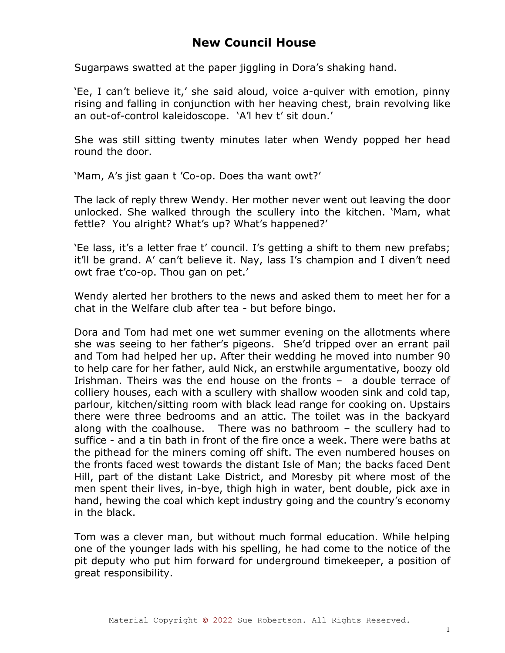## **New Council House**

Sugarpaws swatted at the paper jiggling in Dora's shaking hand.

'Ee, I can't believe it,' she said aloud, voice a-quiver with emotion, pinny rising and falling in conjunction with her heaving chest, brain revolving like an out-of-control kaleidoscope. 'A'l hev t' sit doun.'

She was still sitting twenty minutes later when Wendy popped her head round the door.

'Mam, A's jist gaan t 'Co-op. Does tha want owt?'

The lack of reply threw Wendy. Her mother never went out leaving the door unlocked. She walked through the scullery into the kitchen. 'Mam, what fettle? You alright? What's up? What's happened?'

'Ee lass, it's a letter frae t' council. I's getting a shift to them new prefabs; it'll be grand. A' can't believe it. Nay, lass I's champion and I diven't need owt frae t'co-op. Thou gan on pet.'

Wendy alerted her brothers to the news and asked them to meet her for a chat in the Welfare club after tea - but before bingo.

Dora and Tom had met one wet summer evening on the allotments where she was seeing to her father's pigeons. She'd tripped over an errant pail and Tom had helped her up. After their wedding he moved into number 90 to help care for her father, auld Nick, an erstwhile argumentative, boozy old Irishman. Theirs was the end house on the fronts – a double terrace of colliery houses, each with a scullery with shallow wooden sink and cold tap, parlour, kitchen/sitting room with black lead range for cooking on. Upstairs there were three bedrooms and an attic. The toilet was in the backyard along with the coalhouse. There was no bathroom – the scullery had to suffice - and a tin bath in front of the fire once a week. There were baths at the pithead for the miners coming off shift. The even numbered houses on the fronts faced west towards the distant Isle of Man; the backs faced Dent Hill, part of the distant Lake District, and Moresby pit where most of the men spent their lives, in-bye, thigh high in water, bent double, pick axe in hand, hewing the coal which kept industry going and the country's economy in the black.

Tom was a clever man, but without much formal education. While helping one of the younger lads with his spelling, he had come to the notice of the pit deputy who put him forward for underground timekeeper, a position of great responsibility.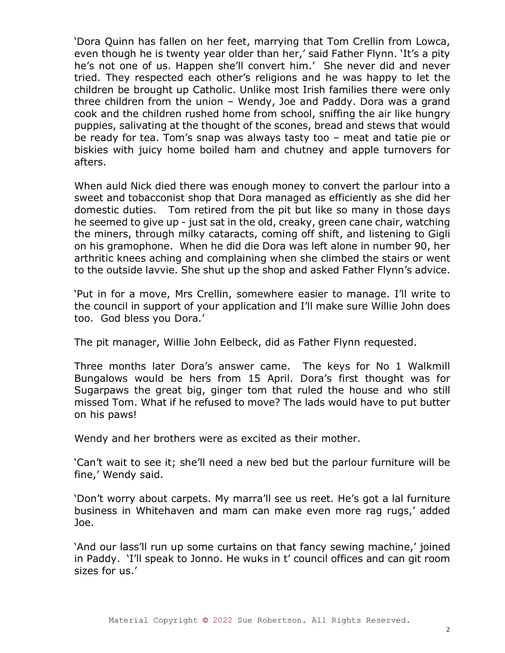'Dora Quinn has fallen on her feet, marrying that Tom Crellin from Lowca, even though he is twenty year older than her,' said Father Flynn. 'It's a pity he's not one of us. Happen she'll convert him.' She never did and never tried. They respected each other's religions and he was happy to let the children be brought up Catholic. Unlike most Irish families there were only three children from the union – Wendy, Joe and Paddy. Dora was a grand cook and the children rushed home from school, sniffing the air like hungry puppies, salivating at the thought of the scones, bread and stews that would be ready for tea. Tom's snap was always tasty too – meat and tatie pie or biskies with juicy home boiled ham and chutney and apple turnovers for afters.

When auld Nick died there was enough money to convert the parlour into a sweet and tobacconist shop that Dora managed as efficiently as she did her domestic duties. Tom retired from the pit but like so many in those days he seemed to give up - just sat in the old, creaky, green cane chair, watching the miners, through milky cataracts, coming off shift, and listening to Gigli on his gramophone. When he did die Dora was left alone in number 90, her arthritic knees aching and complaining when she climbed the stairs or went to the outside lavvie. She shut up the shop and asked Father Flynn's advice.

'Put in for a move, Mrs Crellin, somewhere easier to manage. I'll write to the council in support of your application and I'll make sure Willie John does too. God bless you Dora.'

The pit manager, Willie John Eelbeck, did as Father Flynn requested.

Three months later Dora's answer came. The keys for No 1 Walkmill Bungalows would be hers from 15 April. Dora's first thought was for Sugarpaws the great big, ginger tom that ruled the house and who still missed Tom. What if he refused to move? The lads would have to put butter on his paws!

Wendy and her brothers were as excited as their mother.

'Can't wait to see it; she'll need a new bed but the parlour furniture will be fine,' Wendy said.

'Don't worry about carpets. My marra'll see us reet. He's got a lal furniture business in Whitehaven and mam can make even more rag rugs,' added Joe.

'And our lass'll run up some curtains on that fancy sewing machine,' joined in Paddy. 'I'll speak to Jonno. He wuks in t' council offices and can git room sizes for us.'